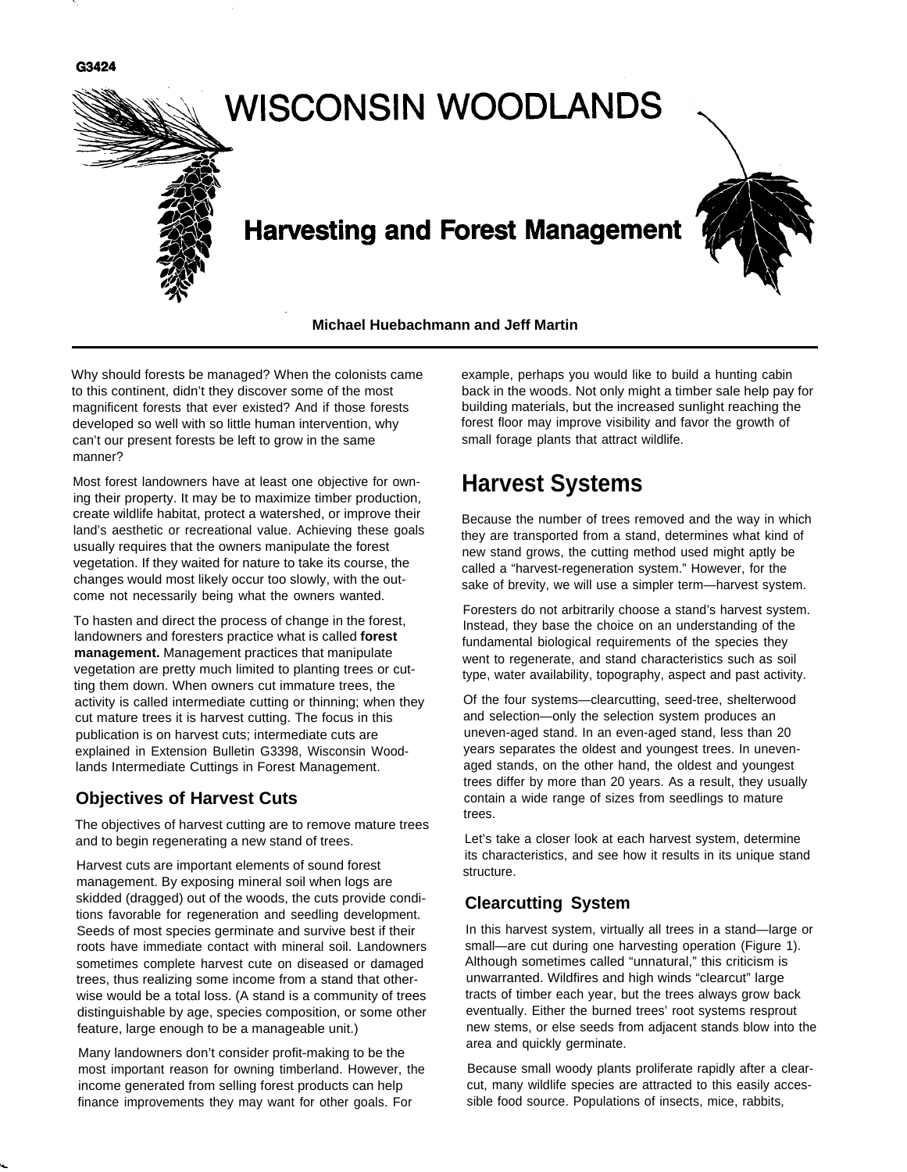



**Michael Huebachmann and Jeff Martin**

Why should forests be managed? When the colonists came to this continent, didn't they discover some of the most magnificent forests that ever existed? And if those forests developed so well with so little human intervention, why can't our present forests be left to grow in the same manner?

Most forest landowners have at least one objective for owning their property. It may be to maximize timber production, create wildlife habitat, protect a watershed, or improve their land's aesthetic or recreational value. Achieving these goals usually requires that the owners manipulate the forest vegetation. If they waited for nature to take its course, the changes would most likely occur too slowly, with the outcome not necessarily being what the owners wanted.

To hasten and direct the process of change in the forest, landowners and foresters practice what is called **forest management.** Management practices that manipulate vegetation are pretty much limited to planting trees or cutting them down. When owners cut immature trees, the activity is called intermediate cutting or thinning; when they cut mature trees it is harvest cutting. The focus in this publication is on harvest cuts; intermediate cuts are explained in Extension Bulletin G3398, Wisconsin Woodlands Intermediate Cuttings in Forest Management.

## **Objectives of Harvest Cuts**

The objectives of harvest cutting are to remove mature trees and to begin regenerating a new stand of trees.

Harvest cuts are important elements of sound forest management. By exposing mineral soil when logs are skidded (dragged) out of the woods, the cuts provide conditions favorable for regeneration and seedling development. Seeds of most species germinate and survive best if their roots have immediate contact with mineral soil. Landowners sometimes complete harvest cute on diseased or damaged trees, thus realizing some income from a stand that otherwise would be a total loss. (A stand is a community of trees distinguishable by age, species composition, or some other feature, large enough to be a manageable unit.)

Many landowners don't consider profit-making to be the most important reason for owning timberland. However, the income generated from selling forest products can help finance improvements they may want for other goals. For

example, perhaps you would like to build a hunting cabin back in the woods. Not only might a timber sale help pay for building materials, but the increased sunlight reaching the forest floor may improve visibility and favor the growth of small forage plants that attract wildlife.

## **Harvest Systems**

Because the number of trees removed and the way in which they are transported from a stand, determines what kind of new stand grows, the cutting method used might aptly be called a "harvest-regeneration system." However, for the sake of brevity, we will use a simpler term—harvest system.

Foresters do not arbitrarily choose a stand's harvest system. Instead, they base the choice on an understanding of the fundamental biological requirements of the species they went to regenerate, and stand characteristics such as soil type, water availability, topography, aspect and past activity.

Of the four systems—clearcutting, seed-tree, shelterwood and selection—only the selection system produces an uneven-aged stand. In an even-aged stand, less than 20 years separates the oldest and youngest trees. In unevenaged stands, on the other hand, the oldest and youngest trees differ by more than 20 years. As a result, they usually contain a wide range of sizes from seedlings to mature trees.

Let's take a closer look at each harvest system, determine its characteristics, and see how it results in its unique stand structure.

## **Clearcutting System**

In this harvest system, virtually all trees in a stand—large or small—are cut during one harvesting operation (Figure 1). Although sometimes called "unnatural," this criticism is unwarranted. Wildfires and high winds "clearcut" large tracts of timber each year, but the trees always grow back eventually. Either the burned trees' root systems resprout new stems, or else seeds from adjacent stands blow into the area and quickly germinate.

Because small woody plants proliferate rapidly after a clearcut, many wildlife species are attracted to this easily accessible food source. Populations of insects, mice, rabbits,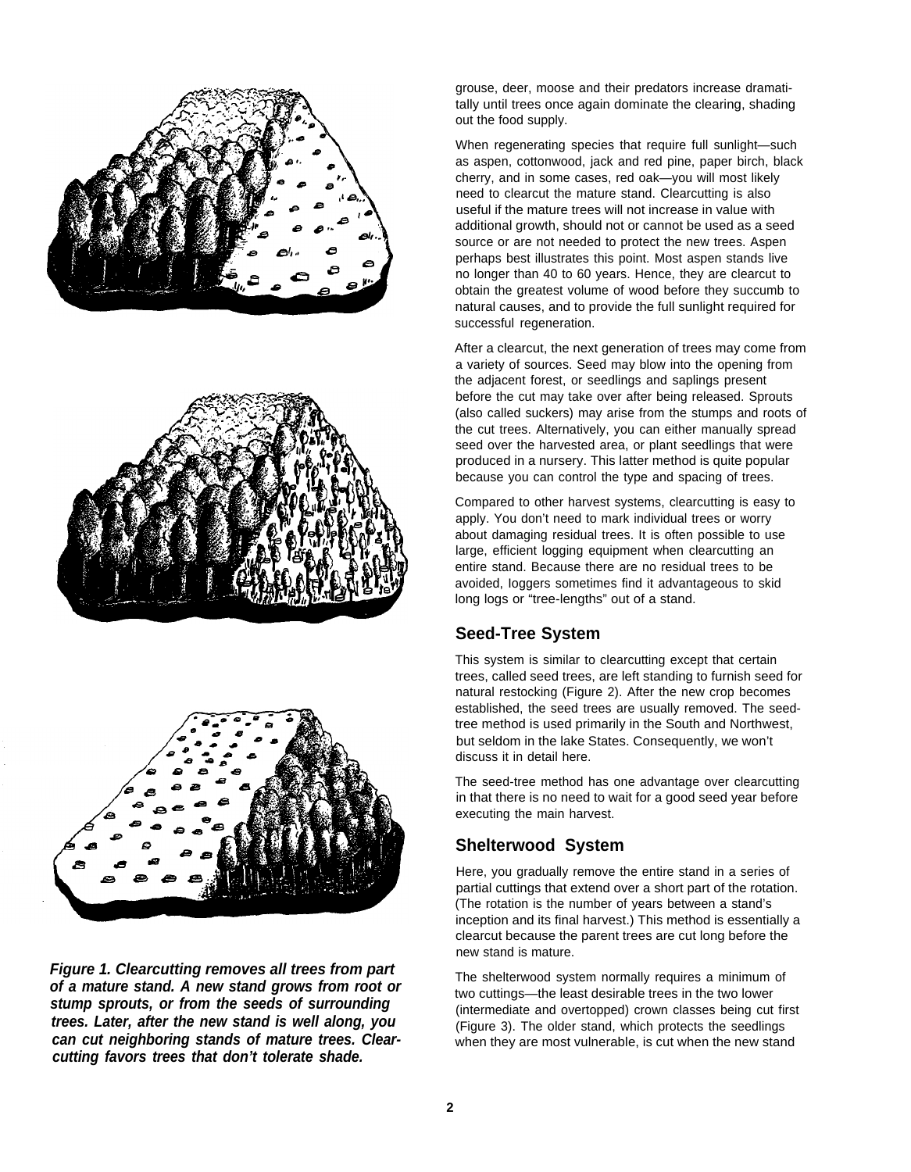





**Figure 1. Clearcutting removes all trees from part of a mature stand. A new stand grows from root or stump sprouts, or from the seeds of surrounding trees. Later, after the new stand is well along, you can cut neighboring stands of mature trees. Clearcutting favors trees that don't tolerate shade.**

grouse, deer, moose and their predators increase dramatitally until trees once again dominate the clearing, shading out the food supply.

When regenerating species that require full sunlight—such as aspen, cottonwood, jack and red pine, paper birch, black cherry, and in some cases, red oak—you will most likely need to clearcut the mature stand. Clearcutting is also useful if the mature trees will not increase in value with additional growth, should not or cannot be used as a seed source or are not needed to protect the new trees. Aspen perhaps best illustrates this point. Most aspen stands live no longer than 40 to 60 years. Hence, they are clearcut to obtain the greatest volume of wood before they succumb to natural causes, and to provide the full sunlight required for successful regeneration.

After a clearcut, the next generation of trees may come from a variety of sources. Seed may blow into the opening from the adjacent forest, or seedlings and saplings present before the cut may take over after being released. Sprouts (also called suckers) may arise from the stumps and roots of the cut trees. Alternatively, you can either manually spread seed over the harvested area, or plant seedlings that were produced in a nursery. This latter method is quite popular because you can control the type and spacing of trees.

Compared to other harvest systems, clearcutting is easy to apply. You don't need to mark individual trees or worry about damaging residual trees. It is often possible to use large, efficient logging equipment when clearcutting an entire stand. Because there are no residual trees to be avoided, Ioggers sometimes find it advantageous to skid long logs or "tree-lengths" out of a stand.

## **Seed-Tree System**

This system is similar to clearcutting except that certain trees, called seed trees, are left standing to furnish seed for natural restocking (Figure 2). After the new crop becomes established, the seed trees are usually removed. The seedtree method is used primarily in the South and Northwest, but seldom in the lake States. Consequently, we won't discuss it in detail here.

The seed-tree method has one advantage over clearcutting in that there is no need to wait for a good seed year before executing the main harvest.

## **Shelterwood System**

Here, you gradually remove the entire stand in a series of partial cuttings that extend over a short part of the rotation. (The rotation is the number of years between a stand's inception and its final harvest.) This method is essentially a clearcut because the parent trees are cut long before the new stand is mature.

The shelterwood system normally requires a minimum of two cuttings—the least desirable trees in the two lower (intermediate and overtopped) crown classes being cut first (Figure 3). The older stand, which protects the seedlings when they are most vulnerable, is cut when the new stand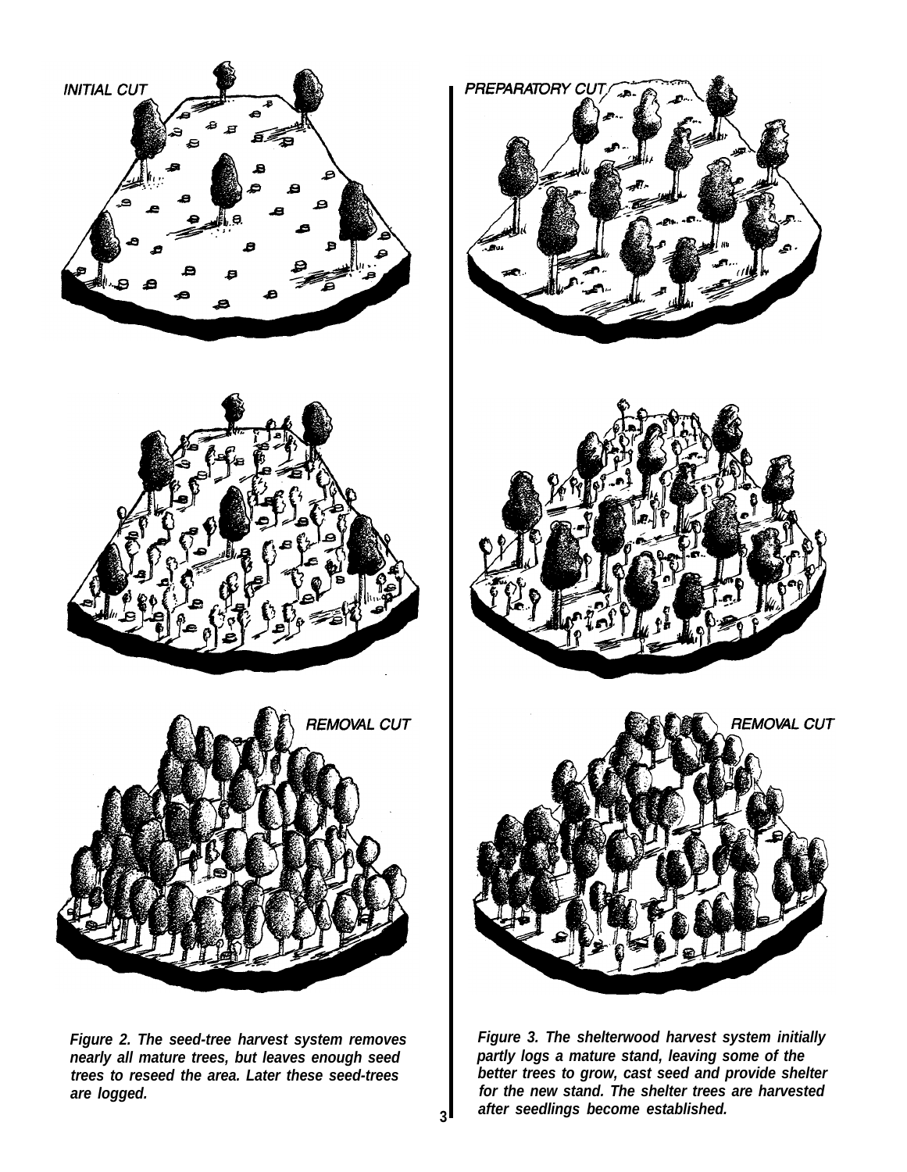





**Figure 2. The seed-tree harvest system removes nearly all mature trees, but leaves enough seed trees to reseed the area. Later these seed-trees are logged.**







**Figure 3. The shelterwood harvest system initially partly logs a mature stand, leaving some of the better trees to grow, cast seed and provide shelter for the new stand. The shelter trees are harvested after seedlings become established.**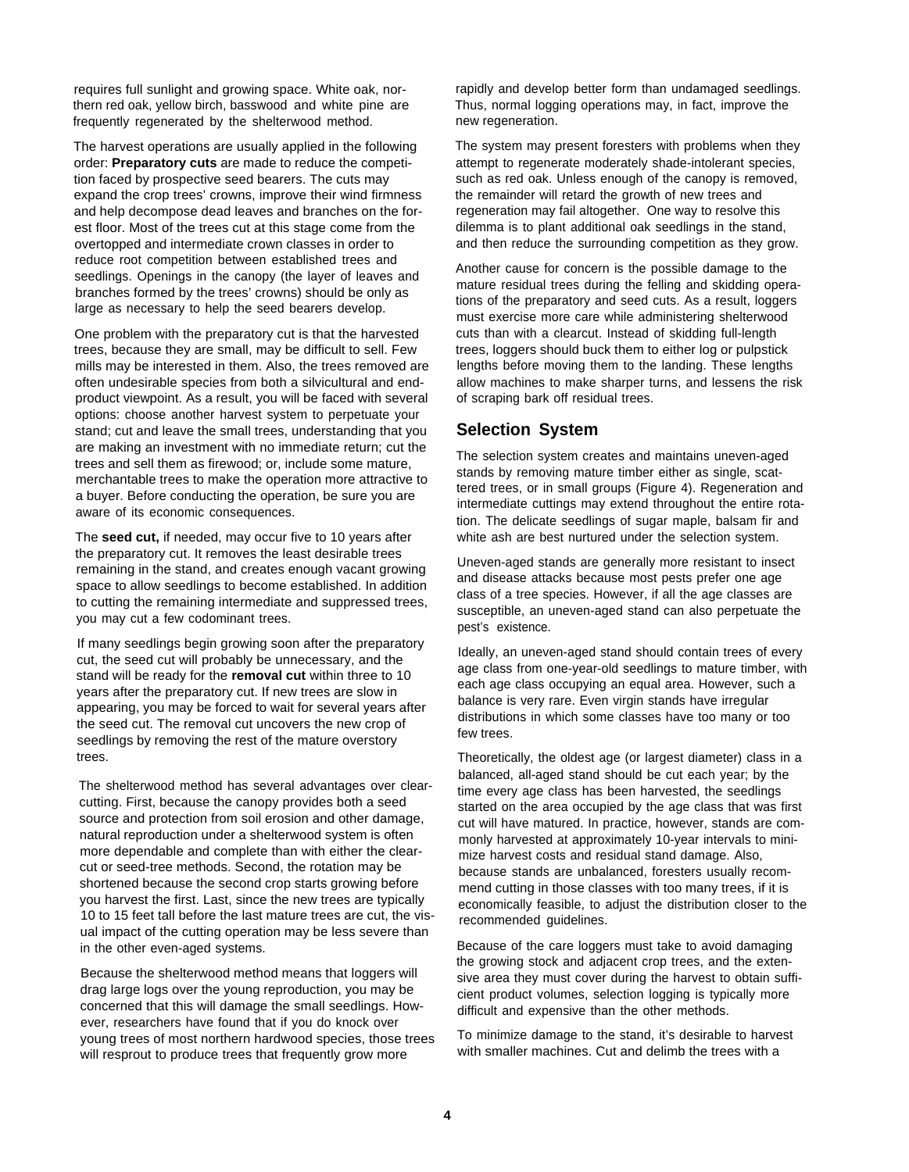requires full sunlight and growing space. White oak, northern red oak, yellow birch, basswood and white pine are frequently regenerated by the shelterwood method.

The harvest operations are usually applied in the following order: **Preparatory cuts** are made to reduce the competition faced by prospective seed bearers. The cuts may expand the crop trees' crowns, improve their wind firmness and help decompose dead leaves and branches on the forest floor. Most of the trees cut at this stage come from the overtopped and intermediate crown classes in order to reduce root competition between established trees and seedlings. Openings in the canopy (the layer of leaves and branches formed by the trees' crowns) should be only as large as necessary to help the seed bearers develop.

One problem with the preparatory cut is that the harvested trees, because they are small, may be difficult to sell. Few mills may be interested in them. Also, the trees removed are often undesirable species from both a silvicultural and endproduct viewpoint. As a result, you will be faced with several options: choose another harvest system to perpetuate your stand; cut and leave the small trees, understanding that you are making an investment with no immediate return; cut the trees and sell them as firewood; or, include some mature, merchantable trees to make the operation more attractive to a buyer. Before conducting the operation, be sure you are aware of its economic consequences.

The **seed cut,** if needed, may occur five to 10 years after the preparatory cut. It removes the least desirable trees remaining in the stand, and creates enough vacant growing space to allow seedlings to become established. In addition to cutting the remaining intermediate and suppressed trees, you may cut a few codominant trees.

If many seedlings begin growing soon after the preparatory cut, the seed cut will probably be unnecessary, and the stand will be ready for the **removal cut** within three to 10 years after the preparatory cut. If new trees are slow in appearing, you may be forced to wait for several years after the seed cut. The removal cut uncovers the new crop of seedlings by removing the rest of the mature overstory trees.

The shelterwood method has several advantages over clearcutting. First, because the canopy provides both a seed source and protection from soil erosion and other damage, natural reproduction under a shelterwood system is often more dependable and complete than with either the clearcut or seed-tree methods. Second, the rotation may be shortened because the second crop starts growing before you harvest the first. Last, since the new trees are typically 10 to 15 feet tall before the last mature trees are cut, the visual impact of the cutting operation may be less severe than in the other even-aged systems.

Because the shelterwood method means that loggers will drag large logs over the young reproduction, you may be concerned that this will damage the small seedlings. However, researchers have found that if you do knock over young trees of most northern hardwood species, those trees will resprout to produce trees that frequently grow more

rapidly and develop better form than undamaged seedlings. Thus, normal logging operations may, in fact, improve the new regeneration.

The system may present foresters with problems when they attempt to regenerate moderately shade-intolerant species, such as red oak. Unless enough of the canopy is removed, the remainder will retard the growth of new trees and regeneration may fail altogether. One way to resolve this dilemma is to plant additional oak seedlings in the stand, and then reduce the surrounding competition as they grow.

Another cause for concern is the possible damage to the mature residual trees during the felling and skidding operations of the preparatory and seed cuts. As a result, loggers must exercise more care while administering shelterwood cuts than with a clearcut. Instead of skidding full-length trees, loggers should buck them to either log or pulpstick lengths before moving them to the landing. These lengths allow machines to make sharper turns, and lessens the risk of scraping bark off residual trees.

#### **Selection System**

The selection system creates and maintains uneven-aged stands by removing mature timber either as single, scattered trees, or in small groups (Figure 4). Regeneration and intermediate cuttings may extend throughout the entire rotation. The delicate seedlings of sugar maple, balsam fir and white ash are best nurtured under the selection system.

Uneven-aged stands are generally more resistant to insect and disease attacks because most pests prefer one age class of a tree species. However, if all the age classes are susceptible, an uneven-aged stand can also perpetuate the pest's existence.

Ideally, an uneven-aged stand should contain trees of every age class from one-year-old seedlings to mature timber, with each age class occupying an equal area. However, such a balance is very rare. Even virgin stands have irregular distributions in which some classes have too many or too few trees.

Theoretically, the oldest age (or largest diameter) class in a balanced, all-aged stand should be cut each year; by the time every age class has been harvested, the seedlings started on the area occupied by the age class that was first cut will have matured. In practice, however, stands are commonly harvested at approximately 10-year intervals to minimize harvest costs and residual stand damage. Also, because stands are unbalanced, foresters usually recommend cutting in those classes with too many trees, if it is economically feasible, to adjust the distribution closer to the recommended guidelines.

Because of the care loggers must take to avoid damaging the growing stock and adjacent crop trees, and the extensive area they must cover during the harvest to obtain sufficient product volumes, selection logging is typically more difficult and expensive than the other methods.

To minimize damage to the stand, it's desirable to harvest with smaller machines. Cut and delimb the trees with a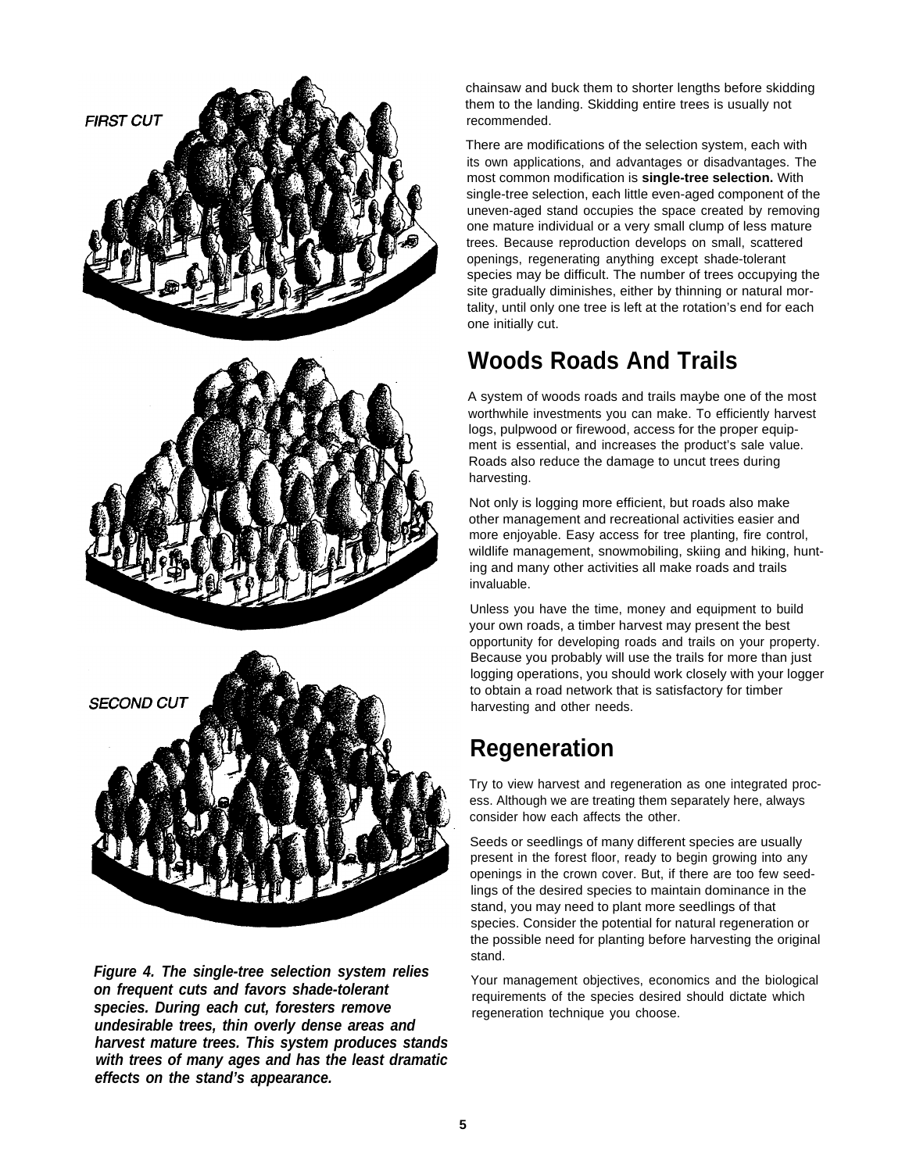





**Figure 4. The single-tree selection system relies on frequent cuts and favors shade-tolerant species. During each cut, foresters remove undesirable trees, thin overly dense areas and harvest mature trees. This system produces stands with trees of many ages and has the least dramatic effects on the stand's appearance.**

chainsaw and buck them to shorter lengths before skidding them to the landing. Skidding entire trees is usually not recommended.

There are modifications of the selection system, each with its own applications, and advantages or disadvantages. The most common modification is **single-tree selection.** With single-tree selection, each little even-aged component of the uneven-aged stand occupies the space created by removing one mature individual or a very small clump of less mature trees. Because reproduction develops on small, scattered openings, regenerating anything except shade-tolerant species may be difficult. The number of trees occupying the site gradually diminishes, either by thinning or natural mortality, until only one tree is left at the rotation's end for each one initially cut.

# **Woods Roads And Trails**

A system of woods roads and trails maybe one of the most worthwhile investments you can make. To efficiently harvest logs, pulpwood or firewood, access for the proper equipment is essential, and increases the product's sale value. Roads also reduce the damage to uncut trees during harvesting.

Not only is logging more efficient, but roads also make other management and recreational activities easier and more enjoyable. Easy access for tree planting, fire control, wildlife management, snowmobiling, skiing and hiking, hunting and many other activities all make roads and trails invaluable.

Unless you have the time, money and equipment to build your own roads, a timber harvest may present the best opportunity for developing roads and trails on your property. Because you probably will use the trails for more than just logging operations, you should work closely with your logger to obtain a road network that is satisfactory for timber harvesting and other needs.

# **Regeneration**

Try to view harvest and regeneration as one integrated process. Although we are treating them separately here, always consider how each affects the other.

Seeds or seedlings of many different species are usually present in the forest floor, ready to begin growing into any openings in the crown cover. But, if there are too few seedlings of the desired species to maintain dominance in the stand, you may need to plant more seedlings of that species. Consider the potential for natural regeneration or the possible need for planting before harvesting the original stand.

Your management objectives, economics and the biological requirements of the species desired should dictate which regeneration technique you choose.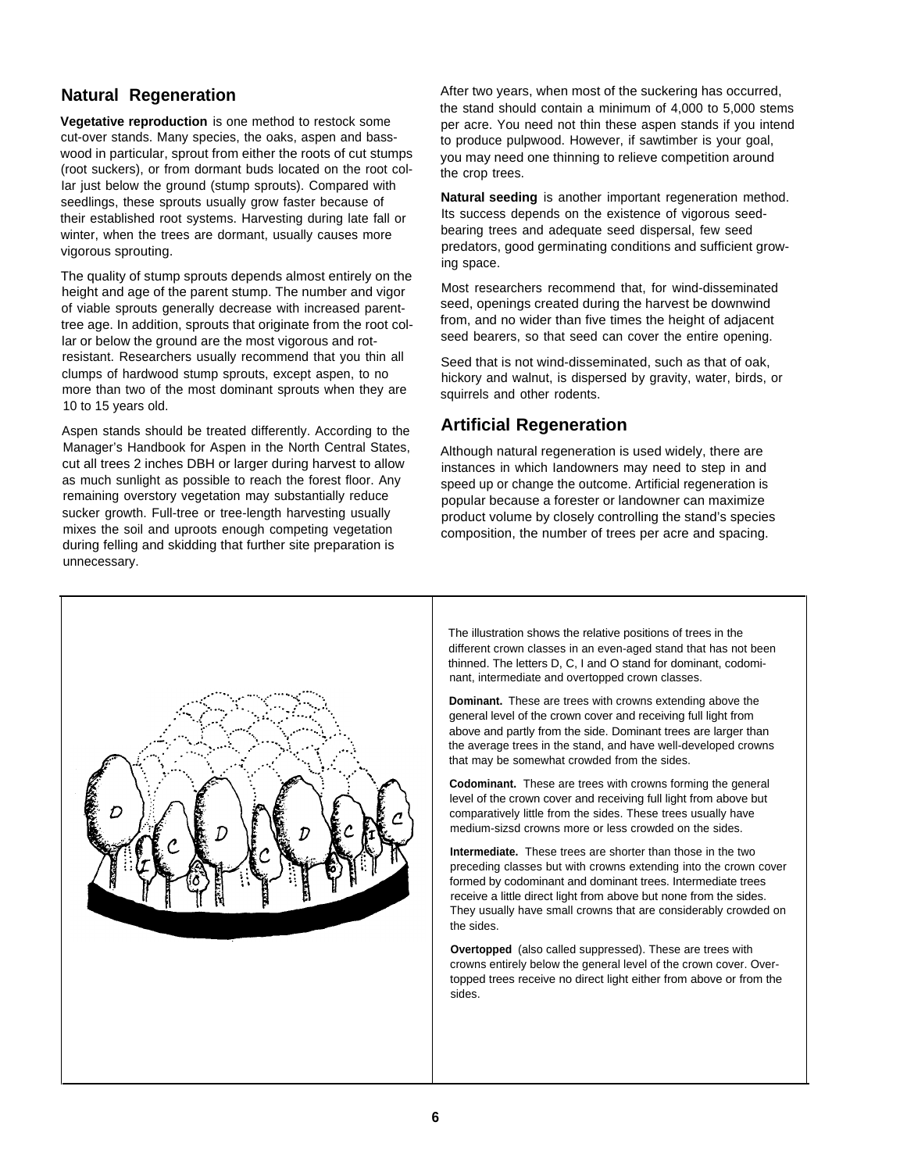cut-over stands. Many species, the oaks, aspen and basswood in particular, sprout from either the roots of cut stumps (root suckers), or from dormant buds located on the root col-Iar just below the ground (stump sprouts). Compared with seedlings, these sprouts usually grow faster because of their established root systems. Harvesting during late fall or winter, when the trees are dormant, usually causes more vigorous sprouting.

The quality of stump sprouts depends almost entirely on the height and age of the parent stump. The number and vigor of viable sprouts generally decrease with increased parenttree age. In addition, sprouts that originate from the root collar or below the ground are the most vigorous and rotresistant. Researchers usually recommend that you thin all clumps of hardwood stump sprouts, except aspen, to no more than two of the most dominant sprouts when they are 10 to 15 years old.

Aspen stands should be treated differently. According to the Manager's Handbook for Aspen in the North Central States, cut all trees 2 inches DBH or larger during harvest to allow as much sunlight as possible to reach the forest floor. Any remaining overstory vegetation may substantially reduce sucker growth. Full-tree or tree-length harvesting usually mixes the soil and uproots enough competing vegetation during felling and skidding that further site preparation is unnecessary.

**Natural Regeneration After two years, when most of the suckering has occurred,** the stand should contain a minimum of 4,000 to 5,000 stems **Vegetative reproduction** is one method to restock some per acre. You need not thin these aspen stands if you intend to produce pulpwood. However, if sawtimber is your goal, you may need one thinning to relieve competition around the crop trees.

> **Natural seeding** is another important regeneration method. Its success depends on the existence of vigorous seedbearing trees and adequate seed dispersal, few seed predators, good germinating conditions and sufficient growing space.

Most researchers recommend that, for wind-disseminated seed, openings created during the harvest be downwind from, and no wider than five times the height of adjacent seed bearers, so that seed can cover the entire opening.

Seed that is not wind-disseminated, such as that of oak, hickory and walnut, is dispersed by gravity, water, birds, or squirrels and other rodents.

## **Artificial Regeneration**

Although natural regeneration is used widely, there are instances in which Iandowners may need to step in and speed up or change the outcome. Artificial regeneration is popular because a forester or landowner can maximize product volume by closely controlling the stand's species composition, the number of trees per acre and spacing.



The illustration shows the relative positions of trees in the different crown classes in an even-aged stand that has not been thinned. The letters D, C, I and O stand for dominant, codominant, intermediate and overtopped crown classes.

**Dominant.** These are trees with crowns extending above the general level of the crown cover and receiving full light from above and partly from the side. Dominant trees are larger than the average trees in the stand, and have well-developed crowns that may be somewhat crowded from the sides.

**Codominant.** These are trees with crowns forming the general level of the crown cover and receiving full light from above but comparatively little from the sides. These trees usually have medium-sizsd crowns more or less crowded on the sides.

**Intermediate.** These trees are shorter than those in the two preceding classes but with crowns extending into the crown cover formed by codominant and dominant trees. Intermediate trees receive a little direct light from above but none from the sides. They usually have small crowns that are considerably crowded on the sides.

**Overtopped** (also called suppressed). These are trees with crowns entirely below the general level of the crown cover. Overtopped trees receive no direct light either from above or from the sides.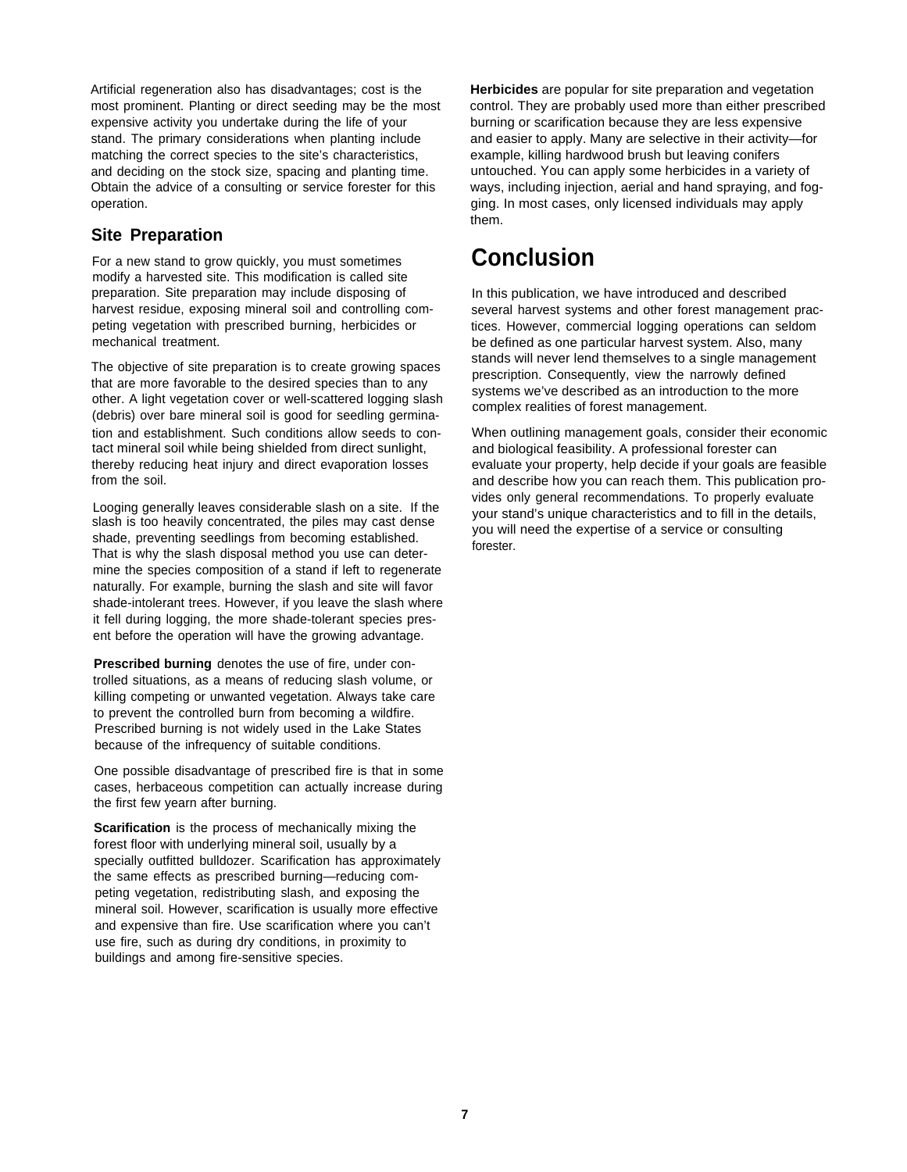Artificial regeneration also has disadvantages; cost is the most prominent. Planting or direct seeding may be the most expensive activity you undertake during the life of your stand. The primary considerations when planting include matching the correct species to the site's characteristics, and deciding on the stock size, spacing and planting time. Obtain the advice of a consulting or service forester for this operation.

#### **Site Preparation**

For a new stand to grow quickly, you must sometimes modify a harvested site. This modification is called site preparation. Site preparation may include disposing of harvest residue, exposing mineral soil and controlling competing vegetation with prescribed burning, herbicides or mechanical treatment.

The objective of site preparation is to create growing spaces that are more favorable to the desired species than to any other. A light vegetation cover or well-scattered logging slash (debris) over bare mineral soil is good for seedling germination and establishment. Such conditions allow seeds to contact mineral soil while being shielded from direct sunlight, thereby reducing heat injury and direct evaporation losses from the soil.

Looging generally leaves considerable slash on a site. If the slash is too heavily concentrated, the piles may cast dense shade, preventing seedlings from becoming established. That is why the slash disposal method you use can determine the species composition of a stand if left to regenerate naturally. For example, burning the slash and site will favor shade-intolerant trees. However, if you leave the slash where it fell during logging, the more shade-tolerant species present before the operation will have the growing advantage.

**Prescribed burning** denotes the use of fire, under controlled situations, as a means of reducing slash volume, or killing competing or unwanted vegetation. Always take care to prevent the controlled burn from becoming a wildfire. Prescribed burning is not widely used in the Lake States because of the infrequency of suitable conditions.

One possible disadvantage of prescribed fire is that in some cases, herbaceous competition can actually increase during the first few yearn after burning.

**Scarification** is the process of mechanically mixing the forest floor with underlying mineral soil, usually by a specially outfitted bulldozer. Scarification has approximately the same effects as prescribed burning—reducing competing vegetation, redistributing slash, and exposing the mineral soil. However, scarification is usually more effective and expensive than fire. Use scarification where you can't use fire, such as during dry conditions, in proximity to buildings and among fire-sensitive species.

**Herbicides** are popular for site preparation and vegetation control. They are probably used more than either prescribed burning or scarification because they are less expensive and easier to apply. Many are selective in their activity—for example, killing hardwood brush but leaving conifers untouched. You can apply some herbicides in a variety of ways, including injection, aerial and hand spraying, and fogging. In most cases, only licensed individuals may apply them.

## **Conclusion**

In this publication, we have introduced and described several harvest systems and other forest management practices. However, commercial logging operations can seldom be defined as one particular harvest system. Also, many stands will never lend themselves to a single management prescription. Consequently, view the narrowly defined systems we've described as an introduction to the more complex realities of forest management.

When outlining management goals, consider their economic and biological feasibility. A professional forester can evaluate your property, help decide if your goals are feasible and describe how you can reach them. This publication provides only general recommendations. To properly evaluate your stand's unique characteristics and to fill in the details, you will need the expertise of a service or consulting forester.